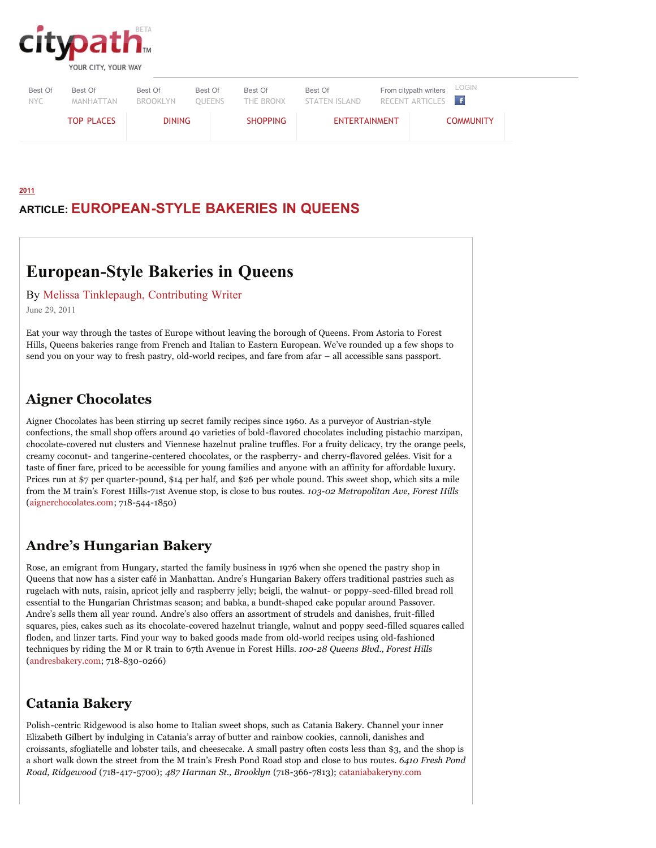

| Best Of | Best Of           | Best Of       | Best Of | Best Of         | Best Of              | From citypath writers LOGIN |                  |
|---------|-------------------|---------------|---------|-----------------|----------------------|-----------------------------|------------------|
| NYC.    | MANHATTAN         | BROOKLYN      | OUEENS  | THE BRONX       | STATEN ISLAND        | RECENT ARTICLES f           |                  |
|         | <b>TOP PLACES</b> | <b>DINING</b> |         | <b>SHOPPING</b> | <b>ENTERTAINMENT</b> |                             | <b>COMMUNITY</b> |

# **ARTICLE: EUROPEAN-STYLE BAKERIES IN QUEENS**

# **European-Style Bakeries in Queens**

By Melissa Tinklepaugh, Contributing Writer

June 29, 2011

**2011**

Eat your way through the tastes of Europe without leaving the borough of Queens. From Astoria to Forest Hills, Queens bakeries range from French and Italian to Eastern European. We've rounded up a few shops to send you on your way to fresh pastry, old-world recipes, and fare from afar – all accessible sans passport.

#### **Aigner Chocolates**

Aigner Chocolates has been stirring up secret family recipes since 1960. As a purveyor of Austrian-style confections, the small shop offers around 40 varieties of bold-flavored chocolates including pistachio marzipan, chocolate-covered nut clusters and Viennese hazelnut praline truffles. For a fruity delicacy, try the orange peels, creamy coconut- and tangerine-centered chocolates, or the raspberry- and cherry-flavored gelées. Visit for a taste of finer fare, priced to be accessible for young families and anyone with an affinity for affordable luxury. Prices run at \$7 per quarter-pound, \$14 per half, and \$26 per whole pound. This sweet shop, which sits a mile from the M train's Forest Hills-71st Avenue stop, is close to bus routes. *103-02 Metropolitan Ave, Forest Hills* (aignerchocolates.com; 718-544-1850)

#### **Andre's Hungarian Bakery**

Rose, an emigrant from Hungary, started the family business in 1976 when she opened the pastry shop in Queens that now has a sister café in Manhattan. Andre's Hungarian Bakery offers traditional pastries such as rugelach with nuts, raisin, apricot jelly and raspberry jelly; beigli, the walnut- or poppy-seed-filled bread roll essential to the Hungarian Christmas season; and babka, a bundt-shaped cake popular around Passover. Andre's sells them all year round. Andre's also offers an assortment of strudels and danishes, fruit-filled squares, pies, cakes such as its chocolate-covered hazelnut triangle, walnut and poppy seed-filled squares called floden, and linzer tarts. Find your way to baked goods made from old-world recipes using old-fashioned techniques by riding the M or R train to 67th Avenue in Forest Hills. *100-28 Queens Blvd., Forest Hills* (andresbakery.com; 718-830-0266)

#### **Catania Bakery**

Polish-centric Ridgewood is also home to Italian sweet shops, such as Catania Bakery. Channel your inner Elizabeth Gilbert by indulging in Catania's array of butter and rainbow cookies, cannoli, danishes and croissants, sfogliatelle and lobster tails, and cheesecake. A small pastry often costs less than \$3, and the shop is a short walk down the street from the M train's Fresh Pond Road stop and close to bus routes. *6410 Fresh Pond Road, Ridgewood* (718-417-5700); *487 Harman St., Brooklyn* (718-366-7813); cataniabakeryny.com